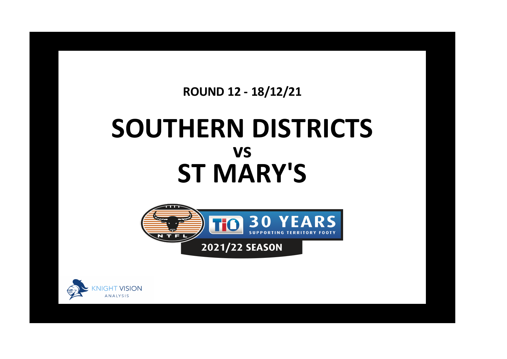## **ROUND 12 - 18/12/21**

## **SOUTHERN DISTRICTS ST MARY'S vs**



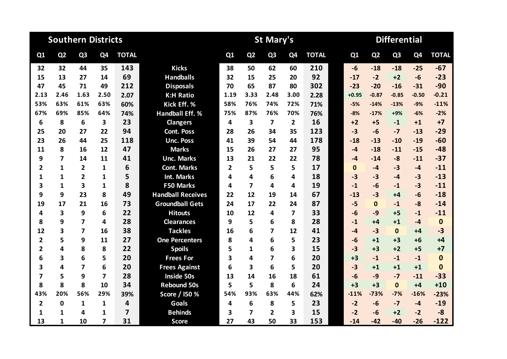|                         |                | <b>Southern Districts</b> |                |                         |                          |                |                         | <b>St Mary's</b> |                |              |              | <b>Differential</b> |                |         |              |
|-------------------------|----------------|---------------------------|----------------|-------------------------|--------------------------|----------------|-------------------------|------------------|----------------|--------------|--------------|---------------------|----------------|---------|--------------|
| Q <sub>1</sub>          | Q <sub>2</sub> | Q <sub>3</sub>            | Q4             | <b>TOTAL</b>            |                          | Q1             | Q <sub>2</sub>          | Q <sub>3</sub>   | Q <sub>4</sub> | <b>TOTAL</b> | Q1           | Q <sub>2</sub>      | Q <sub>3</sub> | Q4      | <b>TOTAL</b> |
| 32                      | 32             | 44                        | 35             | 143                     | <b>Kicks</b>             | 38             | 50                      | 62               | 60             | 210          | $-6$         | $-18$               | $-18$          | $-25$   | $-67$        |
| 15                      | 13             | 27                        | 14             | 69                      | <b>Handballs</b>         | 32             | 15                      | 25               | 20             | 92           | $-17$        | $-2$                | $+2$           | $-6$    | $-23$        |
| 47                      | 45             | 71                        | 49             | 212                     | <b>Disposals</b>         | 70             | 65                      | 87               | 80             | 302          | $-23$        | $-20$               | $-16$          | $-31$   | $-90$        |
| 2.13                    | 2.46           | 1.63                      | 2.50           | 2.07                    | <b>K:H Ratio</b>         | 1.19           | 3.33                    | 2.48             | 3.00           | 2.28         | $+0.95$      | $-0.87$             | $-0.85$        | $-0.50$ | $-0.21$      |
| 53%                     | 63%            | 61%                       | 63%            | 60%                     | Kick Eff. %              | 58%            | 76%                     | 74%              | 72%            | 71%          | $-5%$        | $-14%$              | $-13%$         | $-9%$   | $-11%$       |
| 67%                     | 69%            | 85%                       | 64%            | 74%                     | <b>Handball Eff. %</b>   | 75%            | 87%                     | 76%              | 70%            | 76%          | $-8%$        | $-17%$              | +9%            | $-6%$   | $-2%$        |
| 6                       | 8              | 6                         | 3              | 23                      | <b>Clangers</b>          | 4              | 3                       | 7                | $\mathbf{2}$   | 16           | $+2$         | $+5$                | $-1$           | $+1$    | $+7$         |
| 25                      | 20             | 27                        | 22             | 94                      | <b>Cont. Poss</b>        | 28             | 26                      | 34               | 35             | 123          | $-3$         | $-6$                | $-7$           | $-13$   | $-29$        |
| 23                      | 26             | 44                        | 25             | 118                     | <b>Unc. Poss</b>         | 41             | 39                      | 54               | 44             | 178          | $-18$        | $-13$               | $-10$          | $-19$   | $-60$        |
| 11                      | 8              | 16                        | 12             | 47                      | <b>Marks</b>             | 15             | 26                      | 27               | 27             | 95           | $-4$         | $-18$               | $-11$          | $-15$   | $-48$        |
| 9                       | 7              | 14                        | 11             | 41                      | <b>Unc. Marks</b>        | 13             | 21                      | 22               | 22             | 78           | $-4$         | $-14$               | $-8$           | $-11$   | $-37$        |
| $\overline{2}$          | $\mathbf{1}$   | $\overline{2}$            | 1              | 6                       | <b>Cont. Marks</b>       | $\overline{2}$ | 5                       | 5                | 5              | 17           | $\mathbf{0}$ | $-4$                | $-3$           | $-4$    | $-11$        |
| 1                       | $\mathbf{1}$   | $\overline{2}$            | 1              | 5                       | <b>Int. Marks</b>        | 4              | 4                       | 6                | 4              | 18           | $-3$         | $-3$                | $-4$           | $-3$    | $-13$        |
| 3                       | $\mathbf{1}$   | 3                         | 1              | 8                       | <b>F50 Marks</b>         | 4              | $\overline{7}$          | 4                | 4              | 19           | $-1$         | $-6$                | $-1$           | $-3$    | $-11$        |
| 9                       | 9              | 23                        | 8              | 49                      | <b>Handball Receives</b> | 22             | 12                      | 19               | 14             | 67           | $-13$        | $-3$                | $+4$           | $-6$    | $-18$        |
| 19                      | 17             | 21                        | 16             | 73                      | <b>Groundball Gets</b>   | 24             | 17                      | 22               | 24             | 87           | $-5$         | $\Omega$            | $-1$           | $-8$    | $-14$        |
| 4                       | 3              | 9                         | 6              | 22                      | <b>Hitouts</b>           | 10             | 12                      | 4                | 7              | 33           | $-6$         | $-9$                | $+5$           | $-1$    | $-11$        |
| 8                       | 9              | 7                         | 4              | 28                      | <b>Clearances</b>        | 9              | 5                       | 6                | 8              | 28           | $-1$         | $+4$                | $+1$           | $-4$    | $\mathbf 0$  |
| 12                      | 3              | $\overline{7}$            | 16             | 38                      | <b>Tackles</b>           | 16             | 6                       | 7                | 12             | 41           | $-4$         | $-3$                | $\Omega$       | $+4$    | $-3$         |
| $\overline{2}$          | 5              | 9                         | 11             | 27                      | <b>One Percenters</b>    | 8              | 4                       | 6                | 5              | 23           | $-6$         | $+1$                | $+3$           | $+6$    | $+4$         |
| $\overline{2}$          | 4              | 8                         | 8              | 22                      | <b>Spoils</b>            | 5              | $\mathbf{1}$            | 6                | 3              | 15           | $-3$         | $+3$                | $+2$           | $+5$    | $+7$         |
| 6                       | 3              | 6                         | 5              | 20                      | <b>Frees For</b>         | 3              | 4                       | 7                | 6              | 20           | $+3$         | $-1$                | $-1$           | $-1$    | $\bf{0}$     |
| $\overline{\mathbf{3}}$ | 4              | $\overline{\mathbf{z}}$   | 6              | 20                      | <b>Frees Against</b>     | 6              | $\overline{\mathbf{3}}$ | 6                | 5              | 20           | $-3$         | $+1$                | $+1$           | $+1$    | $\mathbf{0}$ |
| $\overline{7}$          | 5              | 9                         | $\overline{7}$ | 28                      | <b>Inside 50s</b>        | 13             | 14                      | 16               | 18             | 61           | $-6$         | $-9$                | $-7$           | $-11$   | $-33$        |
| 8                       | 8              | 8                         | 10             | 34                      | <b>Rebound 50s</b>       | 5              | 5                       | 8                | 6              | 24           | $+3$         | $+3$                | $\mathbf{0}$   | $+4$    | $+10$        |
| 43%                     | 20%            | 56%                       | 29%            | 39%                     | Score / 150 %            | 54%            | 93%                     | 63%              | 44%            | 62%          | $-11%$       | $-73%$              | $-7%$          | $-16%$  | $-23%$       |
| $\overline{\mathbf{2}}$ | 0              | 1                         | 1              | 4                       | <b>Goals</b>             | 4              | 6                       | 8                | 5              | 23           | $-2$         | $-6$                | $-7$           | $-4$    | $-19$        |
| 1                       | 1              | 4                         | 1              | $\overline{\mathbf{z}}$ | <b>Behinds</b>           | 3              | 7                       | 2                | 3              | 15           | $-2$         | -6                  | $+2$           | $-2$    | $-8$         |
| 13                      | 1              | 10                        | 7              | 31                      | <b>Score</b>             | 27             | 43                      | 50               | 33             | 153          | $-14$        | $-42$               | $-40$          | $-26$   | $-122$       |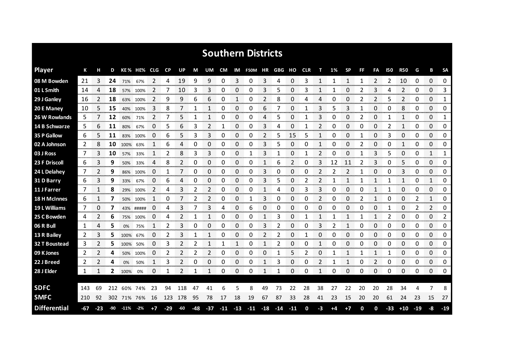|                      |     |       |     |         |             |      |           |     |     |                |            |    | <b>Southern Districts</b> |    |       |       |            |    |    |           |    |    |              |            |       |                |             |
|----------------------|-----|-------|-----|---------|-------------|------|-----------|-----|-----|----------------|------------|----|---------------------------|----|-------|-------|------------|----|----|-----------|----|----|--------------|------------|-------|----------------|-------------|
| <b>Player</b>        | К   |       | D   |         | KE% HE% CLG |      | <b>CP</b> | UP  | М   | UM             | CM         |    | IM F50M HR                |    | GBG   | но    | <b>CLR</b> | т  | 1% | <b>SP</b> | FF | FA | 150          | <b>R50</b> | G     | в              | <b>SA</b>   |
| 08 M Bowden          | 21  | 3     | 24  | 71% 67% |             | 2    | 4         | 19  | 9   | 9              | 0          | 3  | 0                         | 3  | 4     | 0     | 3          | 1  | 1  | 1         | 1  | 2  | 2            | 10         | 0     | $\Omega$       | 0           |
| 01 L Smith           | 14  | 4     | 18  |         | 57% 100%    | 2    | 7         | 10  | 3   | 3              | 0          | 0  | 0                         | 3  | 5     | 0     | 3          | 1  | 1  | 0         | 2  | 3  | 4            | 2          | 0     | 0              | 3           |
| 29 J Ganley          | 16  | 2     | 18  |         | 63% 100%    | 2    | 9         | 9   | 6   | 6              | 0          | 1  | 0                         | 2  | 8     | 0     | 4          | 4  | 0  | 0         | 2  | 2  | 5            | 2          | 0     | 0              | 1           |
| 20 E Maney           | 10  | 5     | 15  | 40%     | 100%        | 3    | 8         | 7   | 1   | 1              | 0          | 0  | 0                         | 6  | 7     | 0     | 1          | 3  | 5  | 3         | 1  | 0  | 0            | 8          | 0     | 0              | 0           |
| 26 W Rowlands        | 5   |       | 12  | 60%     | 71%         | 2    | 7         | 5   | 1   | 1              | 0          | 0  | 0                         | 4  | 5     | 0     | 1          | 3  | 0  | 0         | 2  | 0  | $\mathbf{1}$ | 1          | 0     | 0              | 1           |
| 14 B Schwarze        | 5   | 6     | 11  | 80%     | 67%         | 0    | 5         | 6   | 3   | 2              | 1          | 0  | 0                         | 3  | 4     | 0     | 1          | 2  | 0  | 0         | 0  | 0  | 2            | 1          | 0     | 0              | 0           |
| 35 P Gallow          | 6   | 5     | 11  | 83%     | 100%        | 0    | 6         | 5   | 3   | 3              | 0          | 0  | 0                         | 2  | 5     | 15    | 5          | 1  | 0  | 0         | 1  | 0  | 3            | 0          | 0     | $\Omega$       | 0           |
| 02 A Johnson         | 2   | 8     | 10  | 100%    | 63%         | 1    | 6         | 4   | 0   | 0              | 0          | 0  | 0                         | 3  | 5     | 0     | 0          | 1  | 0  | 0         | 2  | 0  | 0            | 1          | 0     | 0              | 0           |
| 03 J Ross            | 7   | 3     | 10  | 57%     | 33%         | 1    | 2         | 8   | 3   | 3              | 0          | 0  | 1                         | 3  |       | 0     |            | 2  | 0  | 0         | 1  | 3  | 5            | 0          | 0     | $\mathbf{1}$   | 1           |
| 23 F Driscoll        | 6   | 3     | 9   | 50%     | 33%         | 4    | 8         | 2   | 0   | 0              | 0          | 0  | 0                         | 1  | 6     | 2     | 0          | 3  | 12 | 11        | 2  | 3  | 0            | 5          | 0     | 0              | 0           |
| 24 L Delahey         | 7   | 2     | 9   | 86%     | 100%        | 0    |           |     | 0   | 0              | 0          | 0  | 0                         | 3  | 0     | 0     | 0          | 2  |    | 2         |    | 0  | 0            | 3          | 0     | 0              | 0           |
| 31 D Barry           | 6   | 3     | 9   | 33%     | 67%         | 0    | 6         | 4   | 0   | 0              | 0          | 0  | 0                         | 3  | 5     | 0     | 2          | 2  |    |           | 1  | 1  |              | 1          | 0     | 1              | 0           |
| 11 J Farrer          | 7   |       | 8   |         | 29% 100%    | 2    | 4         | 3   | 2   | $\overline{2}$ | 0          | 0  | 0                         | 1  | 4     | 0     | 3          | 3  | 0  | 0         | 0  | 1  |              | 0          | 0     | 0              | 0           |
| <b>18 H McInnes</b>  | 6   |       | 7   | 50%     | 100%        | 1    | 0         | 7   | 2   | 2              | 0          | 0  | 1                         | 3  | 0     | 0     | 0          | 2  | 0  | 0         | 2  | 1  | 0            | 0          | 2     | 1              | 0           |
| 19 L Williams        | 7   | 0     |     |         | 43% #####   | O    | 4         | 3   |     | 3              | 4          | 0  | 6                         | 0  | 0     | 0     | 0          | O  | O  | 0         | O  | 0  |              | 0          | 2     | $\overline{2}$ | 0           |
| 25 C Bowden          | 4   | 2     | 6   | 75%     | 100%        | 0    | 4         | 2   |     |                | 0          | 0  | 0                         | 1  | 3     | 0     |            |    |    |           |    | 1  | 2            | 0          | 0     | 0              | 2<br>nnnnnn |
| 06 R Bull            | 1   | 4     | 5   | 0%      | 75%         | 1    | 2         | 3   | 0   | 0              | 0          | 0  | 0                         | 3  | 2     | 0     | 0          | 3  | 2  |           | 0  | 0  | 0            | 0          | 0     | 0              | 0           |
| 13 R Bailey          | 2   | 3     | 5   | 100%    | 67%         | 0    |           | 3   |     |                | Ω          | 0  | 0                         | 2  | 2     | 0     |            | 0  | 0  | 0         | 0  | 0  | 0            | 0          | 0     | 0              | 0           |
| <b>32 T Boustead</b> | 3   | 2     | 5   | 100%    | 50%         | 0    | 3         | 2   | 2   | 1              | 1          | 1  | 0                         | 1  | 2     | 0     | 0          | 1  | 0  | 0         | 0  | 0  | 0            | 0          | 0     | 0              | 0           |
| 09 K Jones           | 2   | 2     | 4   | 50%     | 100%        | 0    | 2         | 2   | 2   | 2              | 0          | 0  | 0                         | 0  | 1     | 5     | 2          | 0  |    | 1         |    | 1  | 1            | 0          | 0     | 0              | 0           |
| 22 J Breed           | 2   | 2     | 4   | 0%      | 50%         | 1    | 3         | 2   | 0   | 0              | 0          | 0  | 0                         | 1  | 3     | 0     | 0          | 2  |    | 1         | 0  | 2  | 0            | 0          | 0     | 0              | 0           |
| 28 J Elder           | 1   | 1     | 2   | 100%    | 0%          | 0    |           | 2   | 1   | 1              | 0          | 0  | 0                         | 1  | 1     | 0     | 0          | 1  | 0  | 0         | 0  | 0  | 0            | 0          | 0     | 0              | 0           |
|                      |     |       |     |         |             |      |           |     |     |                |            |    |                           |    |       |       |            |    |    |           |    |    |              |            |       |                |             |
| <b>SDFC</b>          | 143 | 69    | 212 | 60%     | 74%         | 23   | 94        | 118 | 47  | 41             | 6          | 5  | 8                         | 49 | 73    | 22    | 28         | 38 | 27 | 22        | 20 | 20 | 28           | 34         |       |                | 8           |
| <b>SMFC</b>          | 210 | 92    | 302 |         | 71% 76%     | 16   | 123       | 178 | 95  | 78             | 17         | 18 | 19                        | 67 | 87    | 33    | 28         | 41 | 23 | 15        | 20 | 20 | 61           | 24         | 23    | 15             | 27          |
| <b>Differential</b>  | -67 | $-23$ | -90 | $-11%$  | $-2\%$      | $+7$ | $-29$     | -60 | -48 | -37            | $-11 - 13$ |    | $-11 - 18$                |    | $-14$ | $-11$ | 0          | -3 | +4 | $+7$      | 0  | 0  | $-33$        | $+10$      | $-19$ | -8             | $-19$       |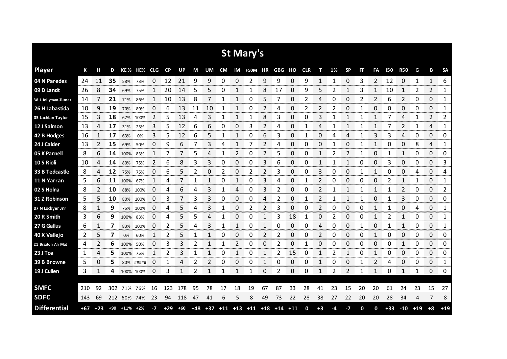|                     |     |             |       |                |             |          |           |       |       |    |             |       | <b>St Mary's</b> |    |        |       |            |                |    |           |    |                |            |                |       |                |           |
|---------------------|-----|-------------|-------|----------------|-------------|----------|-----------|-------|-------|----|-------------|-------|------------------|----|--------|-------|------------|----------------|----|-----------|----|----------------|------------|----------------|-------|----------------|-----------|
| <b>Player</b>       | К   | н           | D     |                | KE% HE% CLG |          | <b>CP</b> | UP    | M     | UM | CM          |       | IM F50M HR       |    | GBG HO |       | <b>CLR</b> | т              | 1% | <b>SP</b> | FF | FA             | <b>I50</b> | <b>R50</b>     | G     | В              | <b>SA</b> |
| 04 N Paredes        | 24  | 11          | 35    | 58%            | 73%         | 0        | 12        | 21    | 9     | 9  | 0           | 0     | 2                | 9  | 9      | 0     | 9          | 1              | 1  | 0         | 3  | $\overline{2}$ | 12         | 0              | 1     | $\mathbf{1}$   | 6         |
| 09 D Landt          | 26  | 8           | 34    | 69%            | 75%         |          | 20        | 14    | 5     | 5  | ი           |       |                  | 8  | 17     | 0     | 9          | 5              |    |           | 3  |                | 10         | 1              | 2     | 2              | 1         |
| 38 L Jellyman-Tumer | 14  | 7           | 21    | 71%            | 86%         | 1        | 10        | 13    | 8     | 7  |             |       | 0                | 5  |        | 0     | 2          | 4              | 0  | 0         | 2  | 2              | 6          | 2              | 0     | 0              | 1         |
| 26 H Labastida      | 10  | 9           | 19    | 70%            | 89%         | 0        | 6         | 13    | 11    | 10 |             |       | 0                | 2  | 4      | 0     | 2          | 2              | 2  | 0         |    | 0              | 0          | 0              | 0     | 0              | 1         |
| 03 Lachlan Taylor   | 15  | 3           | 18    | 67%            | 100%        | 2        | 5         | 13    | 4     | 3  | 1           | 1     | 1                | 8  | 3      | 0     | 0          | 3              |    | 1         | 1  | 1              | 7          | 4              | 1     | $\overline{2}$ | 2         |
| 12 J Salmon         | 13  | 4           | 17    | 31%            | 25%         | 3        | 5         | 12    | 6     | 6  | 0           | 0     | 3                | 2  | 4      | 0     |            | 4              |    |           |    |                |            | 2              | 1     | 4              | 1         |
| 42 B Hodges         | 16  | 1           | 17    | 63%            | 0%          | 3        | 5         | 12    | 6     | 5  | 1           | 1     | 0                | 6  | 3      | 0     |            | 0              | 4  | 4         |    | 3              | 3          | 4              | 0     | 0              | 0         |
| 24 J Calder         | 13  | 2           | 15    | 69%            | 50%         | 0        | 9         | 6     | 7     | 3  | 4           | 1     |                  | 2  | 4      | 0     | 0          | 0              |    | 0         |    |                | 0          | 0              | 8     | 4              | 1         |
| 05 K Parnell        | 8   | 6           | 14    | 100%           | 83%         | 1        | 7         | 7     | 5     | 4  | 1           | 2     | 0                | 2  | 5      | 0     | 0          | 1              | 2  | 2         | 1  | 0              | 1          | 1              | 0     | 0              | 0         |
| 10 S Rioli          | 10  | 4           | 14    | 80%            | 75%         | 2        | 6         | 8     | 3     | 3  | 0           | 0     | 0                | 3  | 6      | 0     | 0          | 1              |    | 1         | 0  | 0              | 3          | 0              | 0     | 0              | 3         |
| 33 B Tedcastle      | 8   | 4           | 12    | 75%            | 75%         | 0        | 6         | 5     | 2     | 0  | 2           | 0     | 2                | 2  | 3      | 0     | 0          | 3              | O  | 0         | 1  | 1              | 0          | 0              | 4     | 0              | 4         |
| 11 N Yarran         | 5   | 6           | 11    | 100%           | 67%         | 1        | 4         |       |       |    | 0           | 1     | 0                | 3  |        | 0     |            | 2              | Ω  | 0         | 0  | 0              |            | 1              | 1     | 0              | 1         |
| 02 S Holna          | 8   | 2           | 10    |                | 88% 100%    | $\Omega$ | 4         | 6     | 4     | 3  | 1           | 4     | 0                | 3  | 2      | 0     | 0          | $\overline{2}$ | 1  | 1         | 1  | 1              | 1          | $\overline{2}$ | 0     | 0              | 2         |
| 31 Z Robinson       | 5   | 5           | 10    | 80%            | 100%        | 0        | 3         |       | 3     | 3  | 0           | 0     | 0                | 4  | 2      | 0     | 1          | 2              |    | 1         |    | 0              | 1          | 3              | 0     | 0              | 0         |
| 07 N Lockyer Jnr    | 8   |             | 9     |                | 75% 100%    | 0        | 4         | 5     | 4     | 3  | 1           | 0     | 2                | 2  | 3      | 0     | 0          | 2              | 0  | 0         | 0  | 1              | 1          | 0              | 4     | 0              | 1         |
| 20 R Smith          | 3   | 6           | 9     | 100% 83%       |             | 0        | 4         | 5     | 5     | 4  | 1           | 0     | 0                | 1  | 3      | 18    | 1          | 0              | 2  | 0         | 0  | 1              | 2          | 1              | 0     | 0              | 1         |
| 27 G Gallus         | 6   | 1           | 7     | 83%            | 100%        | 0        | 2         | 5     | 4     | 3  | 1           | 1     | 0                | 1  | 0      | 0     | 0          | 4              | 0  | 0         | 1  | 0              | 1          | 1              | 0     | 0              | 1         |
| 40 X Vallejo        | 2   | 5           | 7     | 0%             | 60%         | 1        | 2         | 5     | 1     | 1  | 0           | 0     | 0                | 2  | 2      | 0     | ი          | 2              | 0  | 0         | 0  | 1              | 0          | 0              | 0     | 0              | 0         |
| 21 Braxton Ah Mat   | 4   | 2           | 6     | 100%           | 50%         | 0        | 3         | 3     | 2     | 1  | 1           | 2     | 0                | 0  | 2      | 0     | 1          | 0              | 0  | 0         | 0  | 0              | 0          | $\mathbf{1}$   | 0     | 0              | 0         |
| 23 J Toa            | 1   | 4           | 5.    | 100% 75%       |             |          | 2         | 3     | 1     | 1  | 0           | 1     | 0                | 1  | 2      | 15    | 0          | 1              | 2  | 1         | Ω  |                | O          | 0              | 0     | 0              | 0         |
| 39 B Browne         | 5   | 0           | 5     | 80%            | #####       | 0        | 1         | 4     | 2     | 2  | 0           | 0     | 0                | 1  | 0      | 0     | 0          | 1              | 0  | 0         | 1  | 2              | 4          | 0              | 0     | 0              | 1         |
| 19 J Cullen         | 3   | 1           | 4     | 100% 100%      |             | 0        | 3         | 1     | 2     | 1  | 1           | 1     | 1                | 0  | 2      | 0     | 0          | 1              | 2  | 2         | -1 | 1              | 0          | 1              | 1     | 0              | 0         |
|                     |     |             |       |                |             |          |           |       |       |    |             |       |                  |    |        |       |            |                |    |           |    |                |            |                |       |                |           |
| <b>SMFC</b>         | 210 | 92          | 302   | 71%            | 76%         | 16       | 123       | 178   | 95    | 78 | 17          | 18    | 19               | 67 | 87     | 33    | 28         | 41             | 23 | 15        | 20 | 20             | 61         | 24             | 23    | 15             | 27        |
| <b>SDFC</b>         | 143 | 69          | 212   |                | 60% 74%     | 23       | 94        | 118   | 47    | 41 | 6           | 5     | 8                | 49 | 73     | 22    | 28         | 38             | 27 | 22        | 20 | 20             | 28         | 34             | 4     | 7              | 8         |
| <b>Differential</b> |     | $+67$ $+23$ | $+90$ | $+11\%$ $+2\%$ |             | -7       | $+29$     | $+60$ | $+48$ |    | $+37$ $+11$ | $+13$ | $+11$ $+18$      |    | $+14$  | $+11$ | 0          | $+3$           | -4 | -7        | 0  | 0              | $+33$      | $-10$          | $+19$ | $+8$           | $+19$     |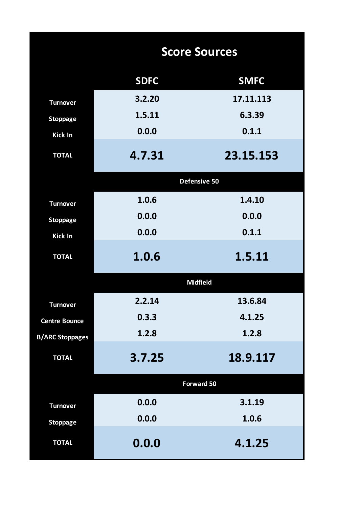|                        |             | <b>Score Sources</b> |
|------------------------|-------------|----------------------|
|                        | <b>SDFC</b> | <b>SMFC</b>          |
| <b>Turnover</b>        | 3.2.20      | 17.11.113            |
| <b>Stoppage</b>        | 1.5.11      | 6.3.39               |
| <b>Kick In</b>         | 0.0.0       | 0.1.1                |
| <b>TOTAL</b>           | 4.7.31      | 23.15.153            |
|                        |             | Defensive 50         |
| <b>Turnover</b>        | 1.0.6       | 1.4.10               |
| <b>Stoppage</b>        | 0.0.0       | 0.0.0                |
| <b>Kick In</b>         | 0.0.0       | 0.1.1                |
| <b>TOTAL</b>           | 1.0.6       | 1.5.11               |
|                        |             | <b>Midfield</b>      |
| <b>Turnover</b>        | 2.2.14      | 13.6.84              |
| <b>Centre Bounce</b>   | 0.3.3       | 4.1.25               |
| <b>B/ARC Stoppages</b> | 1.2.8       | 1.2.8                |
| <b>TOTAL</b>           | 3.7.25      | 18.9.117             |
|                        |             | <b>Forward 50</b>    |
| <b>Turnover</b>        | 0.0.0       | 3.1.19               |
| <b>Stoppage</b>        | 0.0.0       | 1.0.6                |
| <b>TOTAL</b>           | 0.0.0       | 4.1.25               |